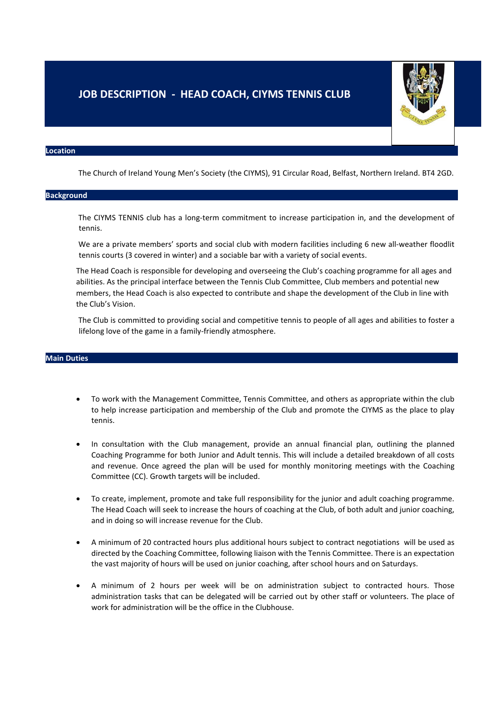# **JOB DESCRIPTION - HEAD COACH, CIYMS TENNIS CLUB**



#### **Location**

The Church of Ireland Young Men's Society (the CIYMS), 91 Circular Road, Belfast, Northern Ireland. BT4 2GD.

## **Background**

The CIYMS TENNIS club has a long-term commitment to increase participation in, and the development of tennis.

We are a private members' sports and social club with modern facilities including 6 new all-weather floodlit tennis courts (3 covered in winter) and a sociable bar with a variety of social events.

The Head Coach is responsible for developing and overseeing the Club's coaching programme for all ages and abilities. As the principal interface between the Tennis Club Committee, Club members and potential new members, the Head Coach is also expected to contribute and shape the development of the Club in line with the Club's Vision.

The Club is committed to providing social and competitive tennis to people of all ages and abilities to foster a lifelong love of the game in a family-friendly atmosphere.

### **Main Duties**

- To work with the Management Committee, Tennis Committee, and others as appropriate within the club to help increase participation and membership of the Club and promote the CIYMS as the place to play tennis.
- In consultation with the Club management, provide an annual financial plan, outlining the planned Coaching Programme for both Junior and Adult tennis. This will include a detailed breakdown of all costs and revenue. Once agreed the plan will be used for monthly monitoring meetings with the Coaching Committee (CC). Growth targets will be included.
- To create, implement, promote and take full responsibility for the junior and adult coaching programme. The Head Coach will seek to increase the hours of coaching at the Club, of both adult and junior coaching, and in doing so will increase revenue for the Club.
- A minimum of 20 contracted hours plus additional hours subject to contract negotiations will be used as directed by the Coaching Committee, following liaison with the Tennis Committee. There is an expectation the vast majority of hours will be used on junior coaching, after school hours and on Saturdays.
- A minimum of 2 hours per week will be on administration subject to contracted hours. Those administration tasks that can be delegated will be carried out by other staff or volunteers. The place of work for administration will be the office in the Clubhouse.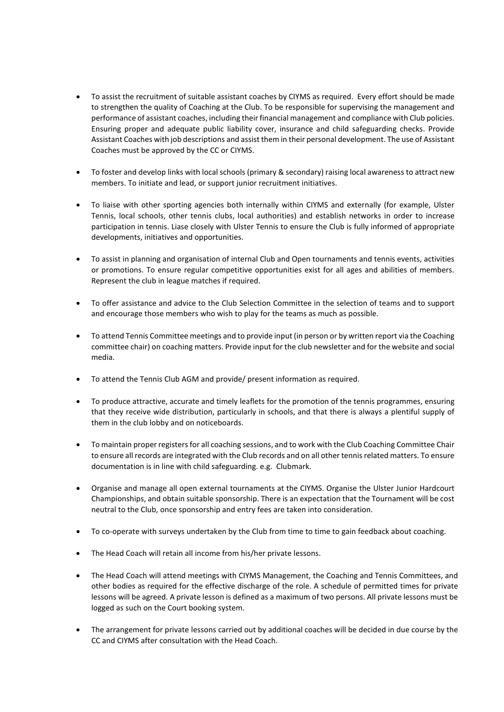- To assist the recruitment of suitable assistant coaches by CIYMS as required. Every effort should be made to strengthen the quality of Coaching at the Club. To be responsible for supervising the management and performance of assistant coaches, including their financial management and compliance with Club policies. Ensuring proper and adequate public liability cover, insurance and child safeguarding checks. Provide Assistant Coaches with job descriptions and assist them in their personal development. The use of Assistant Coaches must be approved by the CC or CIYMS.
- To foster and develop links with local schools (primary & secondary) raising local awareness to attract new members. To initiate and lead, or support junior recruitment initiatives.
- To liaise with other sporting agencies both internally within CIYMS and externally (for example, Ulster Tennis, local schools, other tennis clubs, local authorities) and establish networks in order to increase participation in tennis. Liase closely with Ulster Tennis to ensure the Club is fully informed of appropriate developments, initiatives and opportunities.
- To assist in planning and organisation of internal Club and Open tournaments and tennis events, activities or promotions. To ensure regular competitive opportunities exist for all ages and abilities of members. Represent the club in league matches if required.
- To offer assistance and advice to the Club Selection Committee in the selection of teams and to support and encourage those members who wish to play for the teams as much as possible.
- To attend Tennis Committee meetings and to provide input (in person or by written report via the Coaching committee chair) on coaching matters. Provide input for the club newsletter and for the website and social media.
- To attend the Tennis Club AGM and provide/ present information as required.
- To produce attractive, accurate and timely leaflets for the promotion of the tennis programmes, ensuring that they receive wide distribution, particularly in schools, and that there is always a plentiful supply of them in the club lobby and on noticeboards.
- To maintain proper registers for all coaching sessions, and to work with the Club Coaching Committee Chair to ensure all records are integrated with the Club records and on all other tennis related matters. To ensure documentation is in line with child safeguarding. e.g. Clubmark.
- Organise and manage all open external tournaments at the CIYMS. Organise the Ulster Junior Hardcourt Championships, and obtain suitable sponsorship. There is an expectation that the Tournament will be cost neutral to the Club, once sponsorship and entry fees are taken into consideration.
- To co-operate with surveys undertaken by the Club from time to time to gain feedback about coaching.
- The Head Coach will retain all income from his/her private lessons.
- The Head Coach will attend meetings with CIYMS Management, the Coaching and Tennis Committees, and other bodies as required for the effective discharge of the role. A schedule of permitted times for private lessons will be agreed. A private lesson is defined as a maximum of two persons. All private lessons must be logged as such on the Court booking system.
- The arrangement for private lessons carried out by additional coaches will be decided in due course by the CC and CIYMS after consultation with the Head Coach.